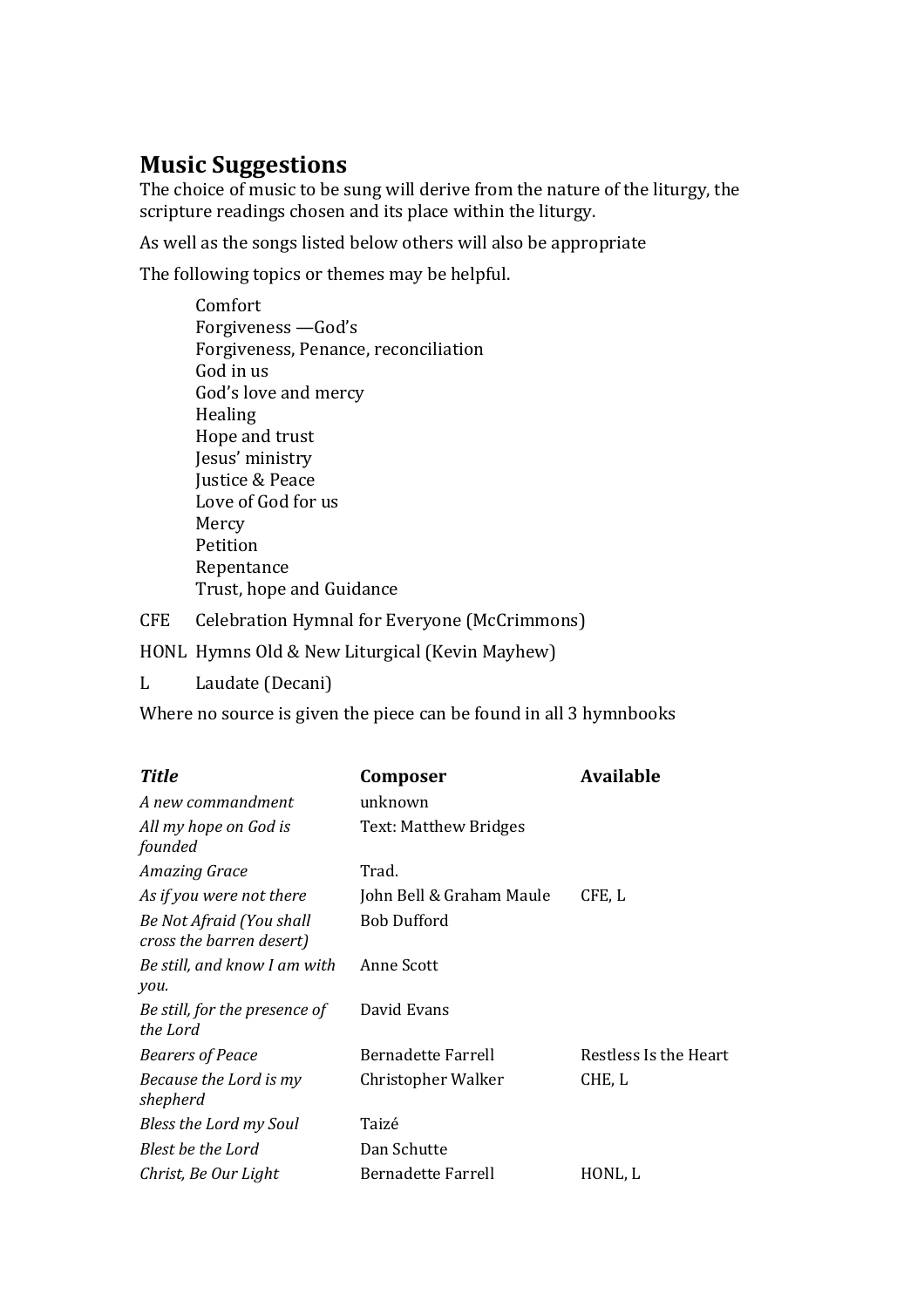## **Music Suggestions**

The choice of music to be sung will derive from the nature of the liturgy, the scripture readings chosen and its place within the liturgy.

As well as the songs listed below others will also be appropriate

The following topics or themes may be helpful.

Comfort Forgiveness - God's Forgiveness, Penance, reconciliation God in us God's love and mercy Healing Hope and trust Jesus' ministry **Justice & Peace** Love of God for us Mercy Petition Repentance Trust, hope and Guidance

CFE Celebration Hymnal for Everyone (McCrimmons)

HONL Hymns Old & New Liturgical (Kevin Mayhew)

L Laudate (Decani)

Where no source is given the piece can be found in all 3 hymnbooks

| <b>Title</b>                                         | Composer                 | <b>Available</b>      |
|------------------------------------------------------|--------------------------|-----------------------|
| A new commandment                                    | unknown                  |                       |
| All my hope on God is<br>founded                     | Text: Matthew Bridges    |                       |
| <b>Amazing Grace</b>                                 | Trad.                    |                       |
| As if you were not there                             | John Bell & Graham Maule | CFE, L                |
| Be Not Afraid (You shall<br>cross the barren desert) | <b>Bob Dufford</b>       |                       |
| Be still, and know I am with<br>you.                 | Anne Scott               |                       |
| Be still, for the presence of<br>the Lord            | David Evans              |                       |
| <b>Bearers of Peace</b>                              | Bernadette Farrell       | Restless Is the Heart |
| Because the Lord is my<br>shepherd                   | Christopher Walker       | CHE, L                |
| Bless the Lord my Soul                               | Taizé                    |                       |
| Blest be the Lord                                    | Dan Schutte              |                       |
| Christ, Be Our Light                                 | Bernadette Farrell       | HONL, L               |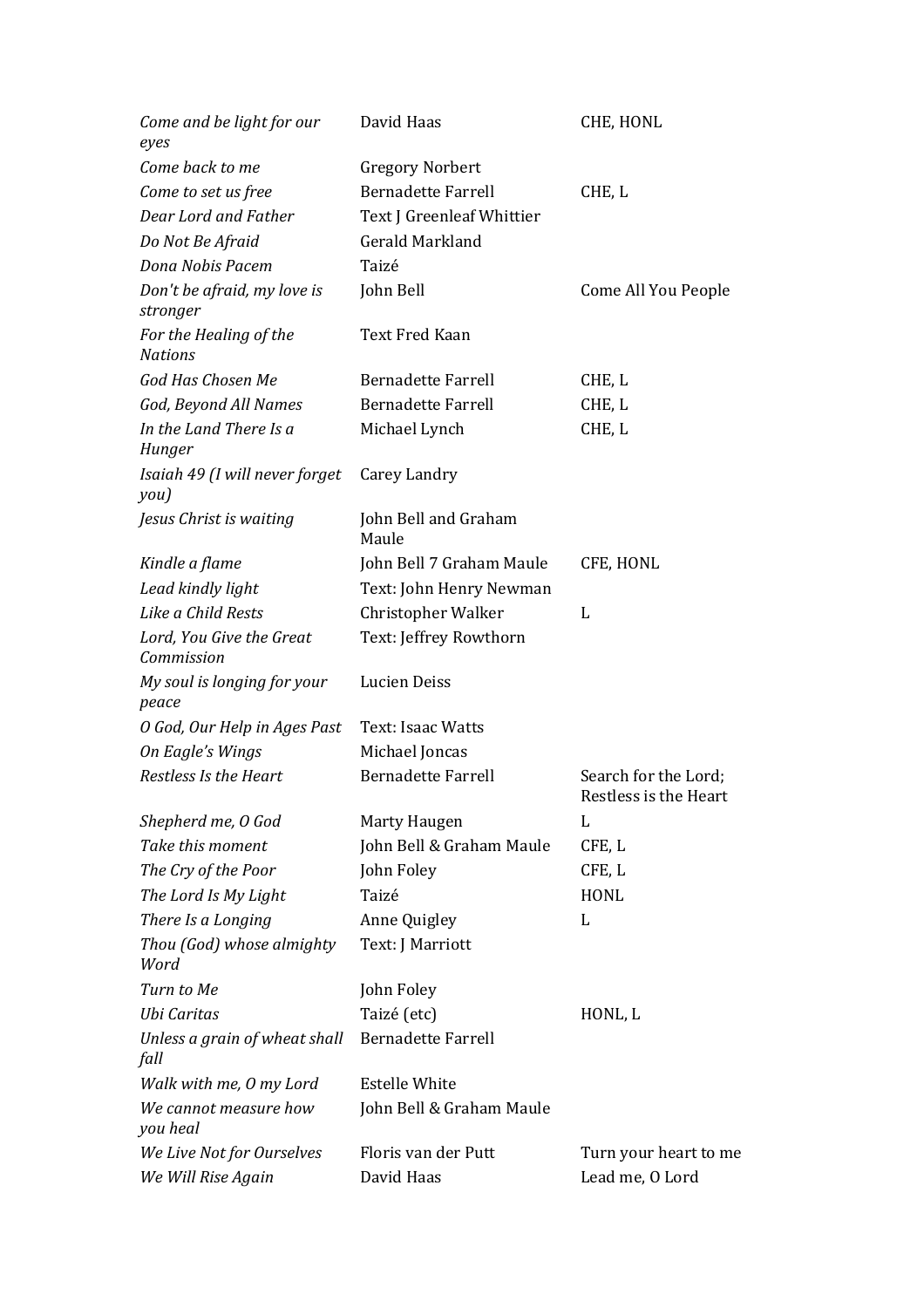| Come and be light for our<br>eyes        | David Haas                    | CHE, HONL                                     |
|------------------------------------------|-------------------------------|-----------------------------------------------|
| Come back to me                          | <b>Gregory Norbert</b>        |                                               |
| Come to set us free                      | <b>Bernadette Farrell</b>     | CHE, L                                        |
| Dear Lord and Father                     | Text J Greenleaf Whittier     |                                               |
| Do Not Be Afraid                         | Gerald Markland               |                                               |
| Dona Nobis Pacem                         | Taizé                         |                                               |
| Don't be afraid, my love is<br>stronger  | John Bell                     | Come All You People                           |
| For the Healing of the<br><b>Nations</b> | <b>Text Fred Kaan</b>         |                                               |
| God Has Chosen Me                        | <b>Bernadette Farrell</b>     | CHE, L                                        |
| God, Beyond All Names                    | <b>Bernadette Farrell</b>     | CHE, L                                        |
| In the Land There Is a<br>Hunger         | Michael Lynch                 | CHE, L                                        |
| Isaiah 49 (I will never forget<br>you)   | Carey Landry                  |                                               |
| Jesus Christ is waiting                  | John Bell and Graham<br>Maule |                                               |
| Kindle a flame                           | John Bell 7 Graham Maule      | CFE, HONL                                     |
| Lead kindly light                        | Text: John Henry Newman       |                                               |
| Like a Child Rests                       | Christopher Walker            | L                                             |
| Lord, You Give the Great<br>Commission   | Text: Jeffrey Rowthorn        |                                               |
| My soul is longing for your<br>peace     | <b>Lucien Deiss</b>           |                                               |
| O God, Our Help in Ages Past             | Text: Isaac Watts             |                                               |
| On Eagle's Wings                         | Michael Joncas                |                                               |
| Restless Is the Heart                    | <b>Bernadette Farrell</b>     | Search for the Lord;<br>Restless is the Heart |
| Shepherd me, O God                       | Marty Haugen                  | L                                             |
| Take this moment                         | John Bell & Graham Maule      | CFE, L                                        |
| The Cry of the Poor                      | John Foley                    | CFE, L                                        |
| The Lord Is My Light                     | Taizé                         | <b>HONL</b>                                   |
| There Is a Longing                       | Anne Quigley                  | L                                             |
| Thou (God) whose almighty<br>Word        | Text: J Marriott              |                                               |
| Turn to Me                               | John Foley                    |                                               |
| Ubi Caritas                              | Taizé (etc)                   | HONL, L                                       |
| Unless a grain of wheat shall<br>fall    | <b>Bernadette Farrell</b>     |                                               |
| Walk with me, O my Lord                  | <b>Estelle White</b>          |                                               |
| We cannot measure how<br>you heal        | John Bell & Graham Maule      |                                               |
| We Live Not for Ourselves                | Floris van der Putt           | Turn your heart to me                         |
| We Will Rise Again                       | David Haas                    | Lead me, O Lord                               |